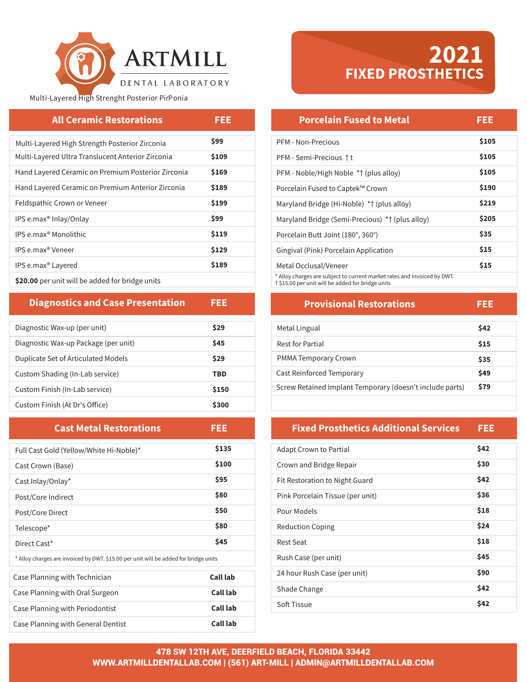

# Multi-Layered High Strenght Posterior PirPonia

| <b>All Ceramic Restorations</b>                    | FEE   |
|----------------------------------------------------|-------|
| Multi-Layered High Strength Posterior Zirconia     | \$99  |
| Multi-Layered Ultra Translucent Anterior Zirconia  | \$109 |
| Hand Layered Ceramic on Premium Posterior Zirconia | \$169 |
| Hand Layered Ceramic on Premium Anterior Zirconia  | \$189 |
| Feldspathic Crown or Veneer                        | \$199 |
| IPS e.max <sup>®</sup> Inlay/Onlay                 | \$99  |
| IPS e.max <sup>®</sup> Monolithic                  | \$119 |
| IPS e.max <sup>®</sup> Veneer                      | \$129 |
| IPS e.max <sup>®</sup> Layered                     | \$189 |
| \$20.00 per unit will be added for bridge units    |       |

**Diagnostics and Case Presentation** 

| Diagnostic Wax-up (per unit)         | \$29  |
|--------------------------------------|-------|
| Diagnostic Wax-up Package (per unit) | \$45  |
| Duplicate Set of Articulated Models  | \$29  |
| Custom Shading (In-Lab service)      | TBD   |
| Custom Finish (In-Lab service)       | \$150 |
| Custom Finish (At Dr's Office)       | \$300 |

FEE.

| <b>Cast Metal Restorations</b>                                                       | FEE      |
|--------------------------------------------------------------------------------------|----------|
| Full Cast Gold (Yellow/White Hi-Noble)*                                              | \$135    |
| Cast Crown (Base)                                                                    | \$100    |
| Cast Inlay/Onlay*                                                                    | \$95     |
| Post/Core Indirect                                                                   | \$80     |
| Post/Core Direct                                                                     | \$50     |
| Telescope*                                                                           | \$80     |
| Direct Cast*                                                                         | \$45     |
| * Alloy charges are invoiced by DWT. \$15.00 per unit will be added for bridge units |          |
| Case Planning with Technician                                                        | Call lab |
| Case Planning with Oral Surgeon                                                      | Call lab |
| Case Planning with Periodontist                                                      | Call lab |
| Case Planning with General Dentist                                                   | Call lab |

# **2021**<br>FIXED PROSTHETICS

# **Porcelain Fused to Metal** FEE

| PFM - Non-Precious                                                       | \$105 |
|--------------------------------------------------------------------------|-------|
| PFM - Semi-Precious †t                                                   | \$105 |
| PFM - Noble/High Noble *† (plus alloy)                                   | \$105 |
| Porcelain Fused to Captek™ Crown                                         | \$190 |
| Maryland Bridge (Hi-Noble) *† (plus alloy)                               | \$219 |
| Maryland Bridge (Semi-Precious) *† (plus alloy)                          | \$205 |
| Porcelain Butt Joint (180°, 360°)                                        | \$35  |
| Gingival (Pink) Porcelain Application                                    | \$15  |
| Metal Occlusal/Veneer                                                    | \$15  |
| * Alloy charges are subject to current market rates and invoiced by DWT. |       |

† \$15.00 per unit will be added for bridge units

### **Provisional Restorations FEE**

| Metal Lingual                                            | \$42 |
|----------------------------------------------------------|------|
| Rest for Partial                                         | \$15 |
| <b>PMMA Temporary Crown</b>                              | \$35 |
| Cast Reinforced Temporary                                | \$49 |
| Screw Retained Implant Temporary (doesn't include parts) | \$79 |

### **Fixed Prosthetics Additional Services** FEE.

| <b>Adapt Crown to Partial</b>    | \$42 |
|----------------------------------|------|
| Crown and Bridge Repair          | \$30 |
| Fit Restoration to Night Guard   | \$42 |
| Pink Porcelain Tissue (per unit) | \$36 |
| Pour Models                      | \$18 |
| <b>Reduction Coping</b>          | \$24 |
| Rest Seat                        | \$18 |
| Rush Case (per unit)             | \$45 |
| 24 hour Rush Case (per unit)     | \$90 |
| Shade Change                     | \$42 |
| Soft Tissue                      | \$42 |
|                                  |      |